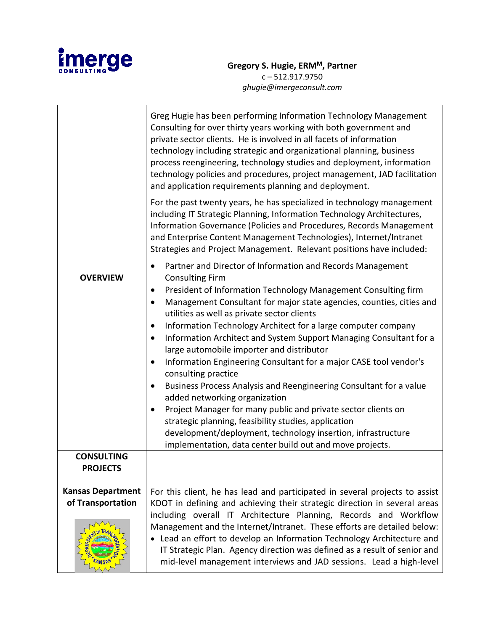

|                          | Greg Hugie has been performing Information Technology Management<br>Consulting for over thirty years working with both government and<br>private sector clients. He is involved in all facets of information<br>technology including strategic and organizational planning, business<br>process reengineering, technology studies and deployment, information<br>technology policies and procedures, project management, JAD facilitation<br>and application requirements planning and deployment.<br>For the past twenty years, he has specialized in technology management<br>including IT Strategic Planning, Information Technology Architectures,<br>Information Governance (Policies and Procedures, Records Management<br>and Enterprise Content Management Technologies), Internet/Intranet<br>Strategies and Project Management. Relevant positions have included: |
|--------------------------|-----------------------------------------------------------------------------------------------------------------------------------------------------------------------------------------------------------------------------------------------------------------------------------------------------------------------------------------------------------------------------------------------------------------------------------------------------------------------------------------------------------------------------------------------------------------------------------------------------------------------------------------------------------------------------------------------------------------------------------------------------------------------------------------------------------------------------------------------------------------------------|
| <b>OVERVIEW</b>          | Partner and Director of Information and Records Management<br>$\bullet$<br><b>Consulting Firm</b><br>President of Information Technology Management Consulting firm<br>$\bullet$<br>Management Consultant for major state agencies, counties, cities and<br>$\bullet$<br>utilities as well as private sector clients<br>Information Technology Architect for a large computer company<br>$\bullet$<br>Information Architect and System Support Managing Consultant for a<br>$\bullet$<br>large automobile importer and distributor<br>Information Engineering Consultant for a major CASE tool vendor's<br>$\bullet$<br>consulting practice                                                                                                                                                                                                                                 |
|                          | Business Process Analysis and Reengineering Consultant for a value<br>$\bullet$<br>added networking organization<br>Project Manager for many public and private sector clients on<br>$\bullet$<br>strategic planning, feasibility studies, application<br>development/deployment, technology insertion, infrastructure<br>implementation, data center build out and move projects.                                                                                                                                                                                                                                                                                                                                                                                                                                                                                          |
| <b>CONSULTING</b>        |                                                                                                                                                                                                                                                                                                                                                                                                                                                                                                                                                                                                                                                                                                                                                                                                                                                                             |
| <b>PROJECTS</b>          |                                                                                                                                                                                                                                                                                                                                                                                                                                                                                                                                                                                                                                                                                                                                                                                                                                                                             |
| <b>Kansas Department</b> | For this client, he has lead and participated in several projects to assist                                                                                                                                                                                                                                                                                                                                                                                                                                                                                                                                                                                                                                                                                                                                                                                                 |
| of Transportation        | KDOT in defining and achieving their strategic direction in several areas<br>including overall IT Architecture Planning, Records and Workflow                                                                                                                                                                                                                                                                                                                                                                                                                                                                                                                                                                                                                                                                                                                               |
|                          | Management and the Internet/Intranet. These efforts are detailed below:<br>• Lead an effort to develop an Information Technology Architecture and<br>IT Strategic Plan. Agency direction was defined as a result of senior and<br>mid-level management interviews and JAD sessions. Lead a high-level                                                                                                                                                                                                                                                                                                                                                                                                                                                                                                                                                                       |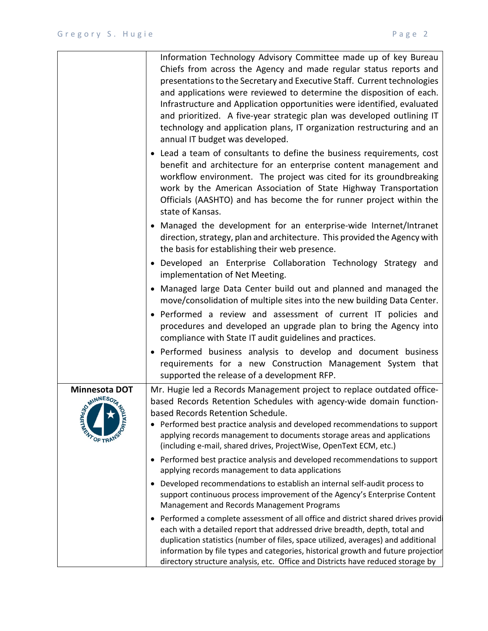|                                                  | Information Technology Advisory Committee made up of key Bureau<br>Chiefs from across the Agency and made regular status reports and<br>presentations to the Secretary and Executive Staff. Current technologies<br>and applications were reviewed to determine the disposition of each.<br>Infrastructure and Application opportunities were identified, evaluated<br>and prioritized. A five-year strategic plan was developed outlining IT<br>technology and application plans, IT organization restructuring and an<br>annual IT budget was developed. |
|--------------------------------------------------|------------------------------------------------------------------------------------------------------------------------------------------------------------------------------------------------------------------------------------------------------------------------------------------------------------------------------------------------------------------------------------------------------------------------------------------------------------------------------------------------------------------------------------------------------------|
|                                                  | • Lead a team of consultants to define the business requirements, cost<br>benefit and architecture for an enterprise content management and<br>workflow environment. The project was cited for its groundbreaking<br>work by the American Association of State Highway Transportation<br>Officials (AASHTO) and has become the for runner project within the<br>state of Kansas.                                                                                                                                                                           |
|                                                  | • Managed the development for an enterprise-wide Internet/Intranet<br>direction, strategy, plan and architecture. This provided the Agency with<br>the basis for establishing their web presence.                                                                                                                                                                                                                                                                                                                                                          |
|                                                  | · Developed an Enterprise Collaboration Technology Strategy and<br>implementation of Net Meeting.                                                                                                                                                                                                                                                                                                                                                                                                                                                          |
|                                                  | • Managed large Data Center build out and planned and managed the<br>move/consolidation of multiple sites into the new building Data Center.                                                                                                                                                                                                                                                                                                                                                                                                               |
|                                                  | • Performed a review and assessment of current IT policies and<br>procedures and developed an upgrade plan to bring the Agency into<br>compliance with State IT audit guidelines and practices.                                                                                                                                                                                                                                                                                                                                                            |
|                                                  | • Performed business analysis to develop and document business<br>requirements for a new Construction Management System that<br>supported the release of a development RFP.                                                                                                                                                                                                                                                                                                                                                                                |
| Minnesota DOT<br>OMINNESORAN<br><b>DETRATION</b> | Mr. Hugie led a Records Management project to replace outdated office-<br>based Records Retention Schedules with agency-wide domain function-<br>based Records Retention Schedule.<br>• Performed best practice analysis and developed recommendations to support<br>applying records management to documents storage areas and applications                                                                                                                                                                                                               |
|                                                  | (including e-mail, shared drives, ProjectWise, OpenText ECM, etc.)<br>• Performed best practice analysis and developed recommendations to support<br>applying records management to data applications                                                                                                                                                                                                                                                                                                                                                      |
|                                                  | Developed recommendations to establish an internal self-audit process to<br>support continuous process improvement of the Agency's Enterprise Content<br>Management and Records Management Programs                                                                                                                                                                                                                                                                                                                                                        |
|                                                  | Performed a complete assessment of all office and district shared drives provid<br>$\bullet$<br>each with a detailed report that addressed drive breadth, depth, total and<br>duplication statistics (number of files, space utilized, averages) and additional<br>information by file types and categories, historical growth and future projection<br>directory structure analysis, etc. Office and Districts have reduced storage by                                                                                                                    |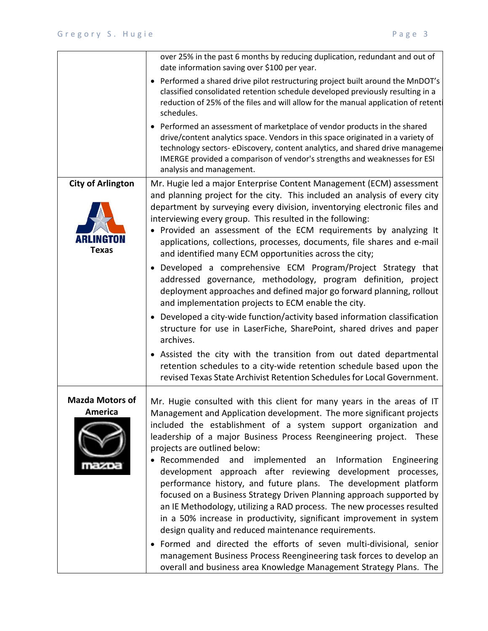|                                          | over 25% in the past 6 months by reducing duplication, redundant and out of<br>date information saving over \$100 per year.                                                                                                                                                                                                                                                                                                                                                                                                                                                                                                                                                                                                                                                                                                                                                             |
|------------------------------------------|-----------------------------------------------------------------------------------------------------------------------------------------------------------------------------------------------------------------------------------------------------------------------------------------------------------------------------------------------------------------------------------------------------------------------------------------------------------------------------------------------------------------------------------------------------------------------------------------------------------------------------------------------------------------------------------------------------------------------------------------------------------------------------------------------------------------------------------------------------------------------------------------|
|                                          | • Performed a shared drive pilot restructuring project built around the MnDOT's<br>classified consolidated retention schedule developed previously resulting in a<br>reduction of 25% of the files and will allow for the manual application of retent<br>schedules.                                                                                                                                                                                                                                                                                                                                                                                                                                                                                                                                                                                                                    |
|                                          | • Performed an assessment of marketplace of vendor products in the shared<br>drive/content analytics space. Vendors in this space originated in a variety of<br>technology sectors-eDiscovery, content analytics, and shared drive manageme<br>IMERGE provided a comparison of vendor's strengths and weaknesses for ESI<br>analysis and management.                                                                                                                                                                                                                                                                                                                                                                                                                                                                                                                                    |
| <b>City of Arlington</b><br><b>Texas</b> | Mr. Hugie led a major Enterprise Content Management (ECM) assessment<br>and planning project for the city. This included an analysis of every city<br>department by surveying every division, inventorying electronic files and<br>interviewing every group. This resulted in the following:<br>• Provided an assessment of the ECM requirements by analyzing It<br>applications, collections, processes, documents, file shares and e-mail<br>and identified many ECM opportunities across the city;                                                                                                                                                                                                                                                                                                                                                                                   |
|                                          | • Developed a comprehensive ECM Program/Project Strategy that<br>addressed governance, methodology, program definition, project<br>deployment approaches and defined major go forward planning, rollout<br>and implementation projects to ECM enable the city.<br>• Developed a city-wide function/activity based information classification<br>structure for use in LaserFiche, SharePoint, shared drives and paper<br>archives.                                                                                                                                                                                                                                                                                                                                                                                                                                                       |
|                                          | • Assisted the city with the transition from out dated departmental<br>retention schedules to a city-wide retention schedule based upon the<br>revised Texas State Archivist Retention Schedules for Local Government.                                                                                                                                                                                                                                                                                                                                                                                                                                                                                                                                                                                                                                                                  |
| <b>Mazda Motors of</b><br><b>America</b> | Mr. Hugie consulted with this client for many years in the areas of IT<br>Management and Application development. The more significant projects<br>included the establishment of a system support organization and<br>leadership of a major Business Process Reengineering project. These<br>projects are outlined below:<br>Recommended<br>and implemented an<br>Information<br>Engineering<br>development approach after reviewing development processes,<br>performance history, and future plans. The development platform<br>focused on a Business Strategy Driven Planning approach supported by<br>an IE Methodology, utilizing a RAD process. The new processes resulted<br>in a 50% increase in productivity, significant improvement in system<br>design quality and reduced maintenance requirements.<br>· Formed and directed the efforts of seven multi-divisional, senior |
|                                          | management Business Process Reengineering task forces to develop an<br>overall and business area Knowledge Management Strategy Plans. The                                                                                                                                                                                                                                                                                                                                                                                                                                                                                                                                                                                                                                                                                                                                               |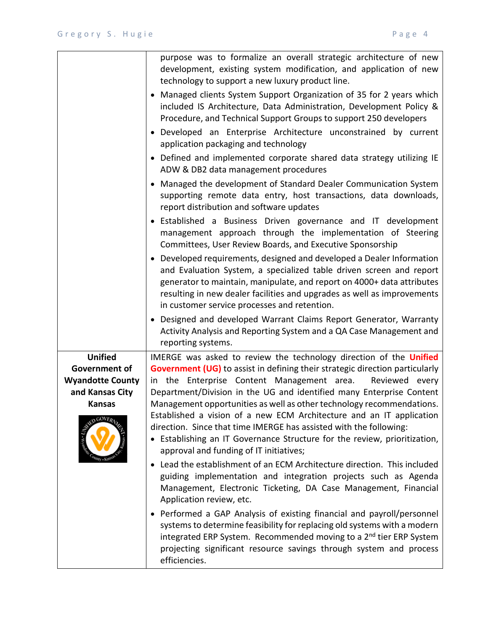|                                                                                                                             | purpose was to formalize an overall strategic architecture of new<br>development, existing system modification, and application of new<br>technology to support a new luxury product line.                                                                                                                                                                                                                                                                                                                                                                                                                                                       |
|-----------------------------------------------------------------------------------------------------------------------------|--------------------------------------------------------------------------------------------------------------------------------------------------------------------------------------------------------------------------------------------------------------------------------------------------------------------------------------------------------------------------------------------------------------------------------------------------------------------------------------------------------------------------------------------------------------------------------------------------------------------------------------------------|
|                                                                                                                             | • Managed clients System Support Organization of 35 for 2 years which<br>included IS Architecture, Data Administration, Development Policy &<br>Procedure, and Technical Support Groups to support 250 developers                                                                                                                                                                                                                                                                                                                                                                                                                                |
|                                                                                                                             | · Developed an Enterprise Architecture unconstrained by current<br>application packaging and technology                                                                                                                                                                                                                                                                                                                                                                                                                                                                                                                                          |
|                                                                                                                             | • Defined and implemented corporate shared data strategy utilizing IE<br>ADW & DB2 data management procedures                                                                                                                                                                                                                                                                                                                                                                                                                                                                                                                                    |
|                                                                                                                             | • Managed the development of Standard Dealer Communication System<br>supporting remote data entry, host transactions, data downloads,<br>report distribution and software updates                                                                                                                                                                                                                                                                                                                                                                                                                                                                |
|                                                                                                                             | • Established a Business Driven governance and IT development<br>management approach through the implementation of Steering<br>Committees, User Review Boards, and Executive Sponsorship                                                                                                                                                                                                                                                                                                                                                                                                                                                         |
|                                                                                                                             | • Developed requirements, designed and developed a Dealer Information<br>and Evaluation System, a specialized table driven screen and report<br>generator to maintain, manipulate, and report on 4000+ data attributes<br>resulting in new dealer facilities and upgrades as well as improvements<br>in customer service processes and retention.                                                                                                                                                                                                                                                                                                |
|                                                                                                                             | • Designed and developed Warrant Claims Report Generator, Warranty<br>Activity Analysis and Reporting System and a QA Case Management and<br>reporting systems.                                                                                                                                                                                                                                                                                                                                                                                                                                                                                  |
| <b>Unified</b><br>Government of<br><b>Wyandotte County</b><br>and Kansas City<br><b>Kansas</b><br>NATION COVERLY<br>waty Ka | IMERGE was asked to review the technology direction of the Unified<br><b>Government (UG)</b> to assist in defining their strategic direction particularly<br>in the Enterprise Content Management area.<br>Reviewed every<br>Department/Division in the UG and identified many Enterprise Content<br>Management opportunities as well as other technology recommendations.<br>Established a vision of a new ECM Architecture and an IT application<br>direction. Since that time IMERGE has assisted with the following:<br>• Establishing an IT Governance Structure for the review, prioritization,<br>approval and funding of IT initiatives; |
|                                                                                                                             | Lead the establishment of an ECM Architecture direction. This included<br>$\bullet$<br>guiding implementation and integration projects such as Agenda<br>Management, Electronic Ticketing, DA Case Management, Financial<br>Application review, etc.                                                                                                                                                                                                                                                                                                                                                                                             |
|                                                                                                                             | • Performed a GAP Analysis of existing financial and payroll/personnel<br>systems to determine feasibility for replacing old systems with a modern<br>integrated ERP System. Recommended moving to a 2 <sup>nd</sup> tier ERP System<br>projecting significant resource savings through system and process<br>efficiencies.                                                                                                                                                                                                                                                                                                                      |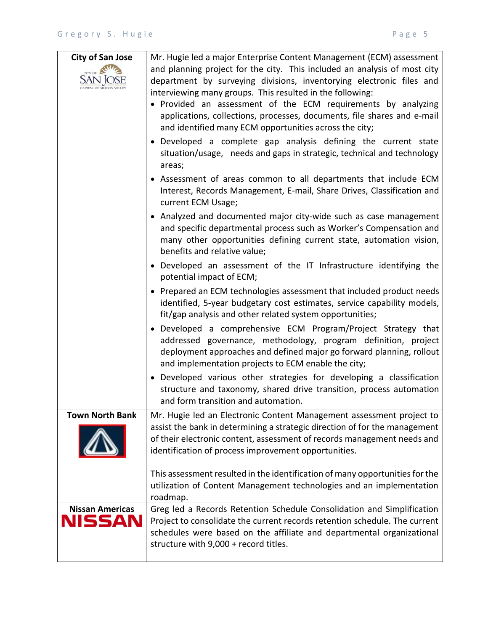| <b>City of San Jose</b>          | Mr. Hugie led a major Enterprise Content Management (ECM) assessment<br>and planning project for the city. This included an analysis of most city<br>department by surveying divisions, inventorying electronic files and<br>interviewing many groups. This resulted in the following:<br>• Provided an assessment of the ECM requirements by analyzing<br>applications, collections, processes, documents, file shares and e-mail<br>and identified many ECM opportunities across the city;<br>• Developed a complete gap analysis defining the current state<br>situation/usage, needs and gaps in strategic, technical and technology<br>areas;<br>• Assessment of areas common to all departments that include ECM |
|----------------------------------|------------------------------------------------------------------------------------------------------------------------------------------------------------------------------------------------------------------------------------------------------------------------------------------------------------------------------------------------------------------------------------------------------------------------------------------------------------------------------------------------------------------------------------------------------------------------------------------------------------------------------------------------------------------------------------------------------------------------|
|                                  | Interest, Records Management, E-mail, Share Drives, Classification and<br>current ECM Usage;                                                                                                                                                                                                                                                                                                                                                                                                                                                                                                                                                                                                                           |
|                                  | • Analyzed and documented major city-wide such as case management<br>and specific departmental process such as Worker's Compensation and<br>many other opportunities defining current state, automation vision,<br>benefits and relative value;                                                                                                                                                                                                                                                                                                                                                                                                                                                                        |
|                                  | • Developed an assessment of the IT Infrastructure identifying the<br>potential impact of ECM;                                                                                                                                                                                                                                                                                                                                                                                                                                                                                                                                                                                                                         |
|                                  | • Prepared an ECM technologies assessment that included product needs<br>identified, 5-year budgetary cost estimates, service capability models,<br>fit/gap analysis and other related system opportunities;                                                                                                                                                                                                                                                                                                                                                                                                                                                                                                           |
|                                  | • Developed a comprehensive ECM Program/Project Strategy that<br>addressed governance, methodology, program definition, project<br>deployment approaches and defined major go forward planning, rollout<br>and implementation projects to ECM enable the city;                                                                                                                                                                                                                                                                                                                                                                                                                                                         |
|                                  | • Developed various other strategies for developing a classification<br>structure and taxonomy, shared drive transition, process automation<br>and form transition and automation.                                                                                                                                                                                                                                                                                                                                                                                                                                                                                                                                     |
| <b>Town North Bank</b>           | Mr. Hugie led an Electronic Content Management assessment project to<br>assist the bank in determining a strategic direction of for the management<br>of their electronic content, assessment of records management needs and<br>identification of process improvement opportunities.                                                                                                                                                                                                                                                                                                                                                                                                                                  |
|                                  | This assessment resulted in the identification of many opportunities for the<br>utilization of Content Management technologies and an implementation<br>roadmap.                                                                                                                                                                                                                                                                                                                                                                                                                                                                                                                                                       |
| <b>Nissan Americas</b><br>NISSAN | Greg led a Records Retention Schedule Consolidation and Simplification<br>Project to consolidate the current records retention schedule. The current<br>schedules were based on the affiliate and departmental organizational<br>structure with 9,000 + record titles.                                                                                                                                                                                                                                                                                                                                                                                                                                                 |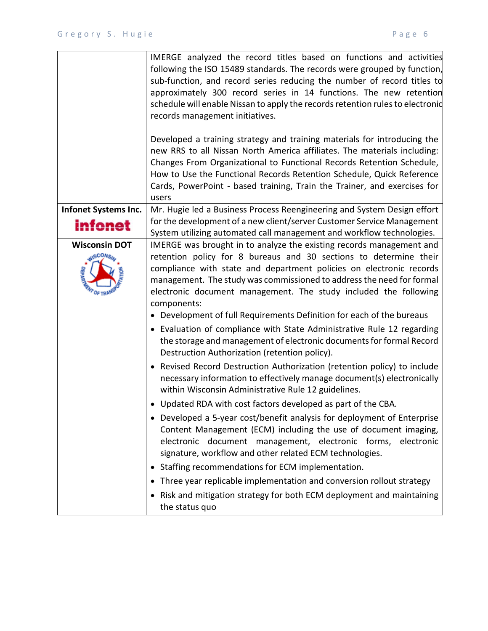|                                        | IMERGE analyzed the record titles based on functions and activities<br>following the ISO 15489 standards. The records were grouped by function,<br>sub-function, and record series reducing the number of record titles to<br>approximately 300 record series in 14 functions. The new retention<br>schedule will enable Nissan to apply the records retention rules to electronic<br>records management initiatives.<br>Developed a training strategy and training materials for introducing the<br>new RRS to all Nissan North America affiliates. The materials including:<br>Changes From Organizational to Functional Records Retention Schedule,<br>How to Use the Functional Records Retention Schedule, Quick Reference<br>Cards, PowerPoint - based training, Train the Trainer, and exercises for<br>users |
|----------------------------------------|----------------------------------------------------------------------------------------------------------------------------------------------------------------------------------------------------------------------------------------------------------------------------------------------------------------------------------------------------------------------------------------------------------------------------------------------------------------------------------------------------------------------------------------------------------------------------------------------------------------------------------------------------------------------------------------------------------------------------------------------------------------------------------------------------------------------|
| Infonet Systems Inc.<br>infonet        | Mr. Hugie led a Business Process Reengineering and System Design effort<br>for the development of a new client/server Customer Service Management<br>System utilizing automated call management and workflow technologies.                                                                                                                                                                                                                                                                                                                                                                                                                                                                                                                                                                                           |
| <b>Wisconsin DOT</b><br><b>ANSCOMS</b> | IMERGE was brought in to analyze the existing records management and<br>retention policy for 8 bureaus and 30 sections to determine their<br>compliance with state and department policies on electronic records<br>management. The study was commissioned to address the need for formal<br>electronic document management. The study included the following<br>components:                                                                                                                                                                                                                                                                                                                                                                                                                                         |
|                                        | • Development of full Requirements Definition for each of the bureaus<br>• Evaluation of compliance with State Administrative Rule 12 regarding<br>the storage and management of electronic documents for formal Record<br>Destruction Authorization (retention policy).                                                                                                                                                                                                                                                                                                                                                                                                                                                                                                                                             |
|                                        | • Revised Record Destruction Authorization (retention policy) to include<br>necessary information to effectively manage document(s) electronically<br>within Wisconsin Administrative Rule 12 guidelines.                                                                                                                                                                                                                                                                                                                                                                                                                                                                                                                                                                                                            |
|                                        | • Updated RDA with cost factors developed as part of the CBA.<br>• Developed a 5-year cost/benefit analysis for deployment of Enterprise<br>Content Management (ECM) including the use of document imaging,<br>electronic document management, electronic forms, electronic<br>signature, workflow and other related ECM technologies.<br>Staffing recommendations for ECM implementation.                                                                                                                                                                                                                                                                                                                                                                                                                           |
|                                        | Three year replicable implementation and conversion rollout strategy<br>٠<br>Risk and mitigation strategy for both ECM deployment and maintaining<br>٠<br>the status quo                                                                                                                                                                                                                                                                                                                                                                                                                                                                                                                                                                                                                                             |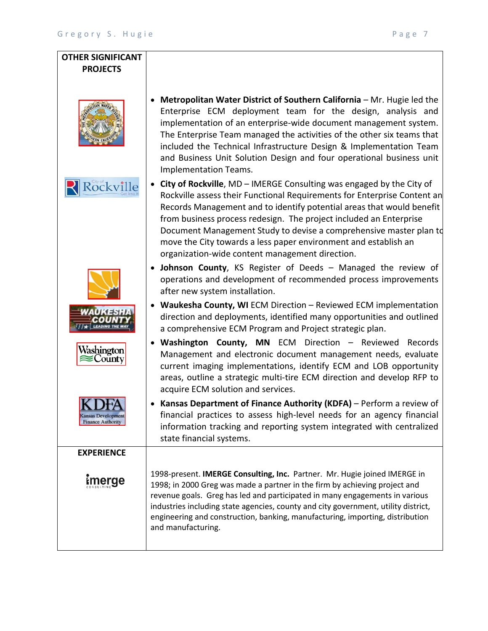## **OTHER SIGNIFICANT PROJECTS** • **Metropolitan Water District of Southern California** – Mr. Hugie led the Enterprise ECM deployment team for the design, analysis and implementation of an enterprise-wide document management system. The Enterprise Team managed the activities of the other six teams that included the Technical Infrastructure Design & Implementation Team and Business Unit Solution Design and four operational business unit Implementation Teams. • **City of Rockville**, MD – IMERGE Consulting was engaged by the City of **Rockville** Rockville assess their Functional Requirements for Enterprise Content an Records Management and to identify potential areas that would benefit from business process redesign. The project included an Enterprise Document Management Study to devise a comprehensive master plan to move the City towards a less paper environment and establish an organization-wide content management direction. • **Johnson County**, KS Register of Deeds – Managed the review of operations and development of recommended process improvements after new system installation. • **Waukesha County, WI** ECM Direction – Reviewed ECM implementation direction and deployments, identified many opportunities and outlined a comprehensive ECM Program and Project strategic plan. • **Washington County, MN** ECM Direction – Reviewed Records Washington Management and electronic document management needs, evaluate  $\approx$ County current imaging implementations, identify ECM and LOB opportunity areas, outline a strategic multi-tire ECM direction and develop RFP to acquire ECM solution and services. • **Kansas Department of Finance Authority (KDFA)** – Perform a review of financial practices to assess high-level needs for an agency financial nsas Developn **Finance Authority** information tracking and reporting system integrated with centralized state financial systems. **EXPERIENCE** 1998-present. **IMERGE Consulting, Inc.** Partner. Mr. Hugie joined IMERGE in imerge 1998; in 2000 Greg was made a partner in the firm by achieving project and revenue goals. Greg has led and participated in many engagements in various industries including state agencies, county and city government, utility district, engineering and construction, banking, manufacturing, importing, distribution and manufacturing.